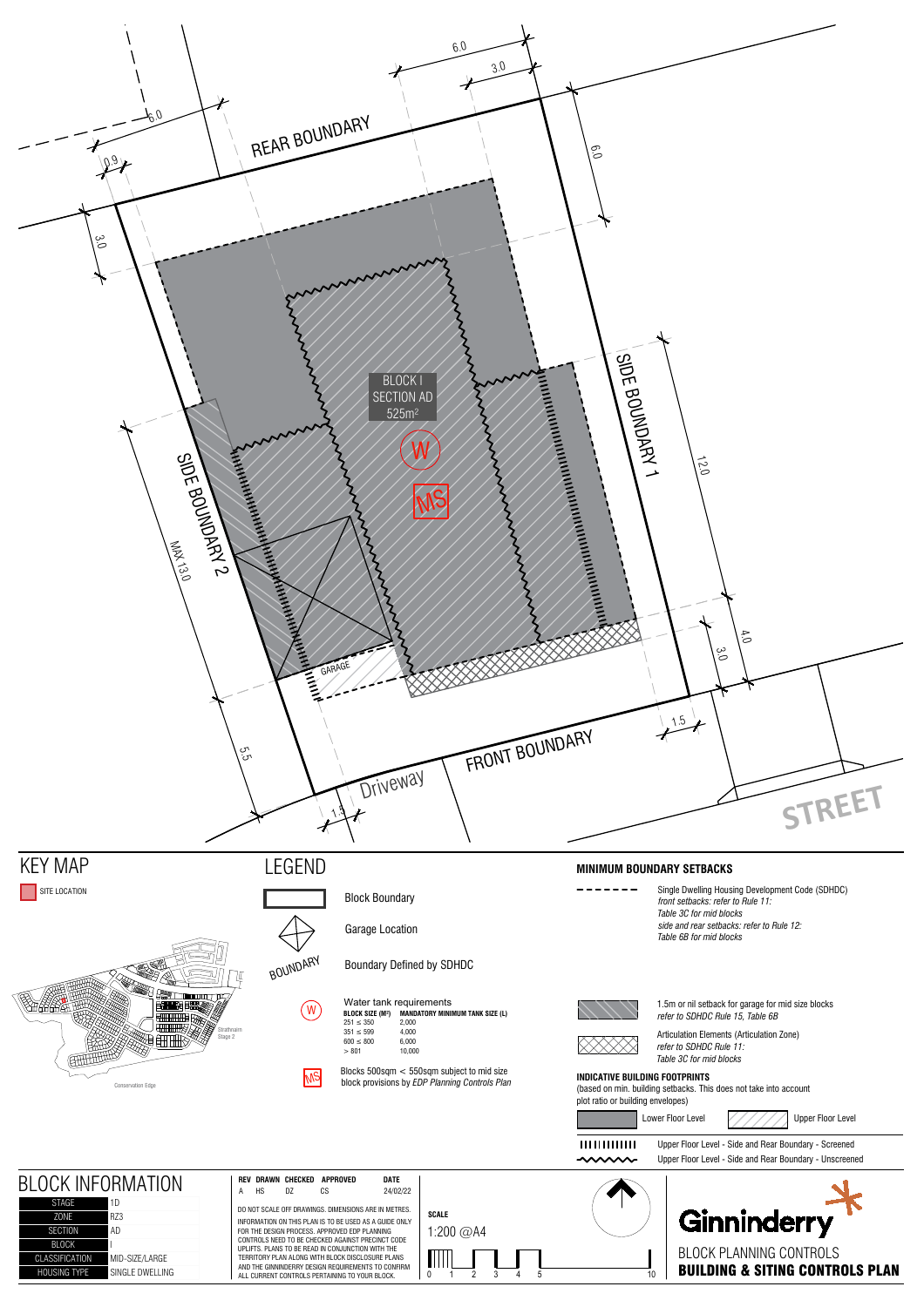